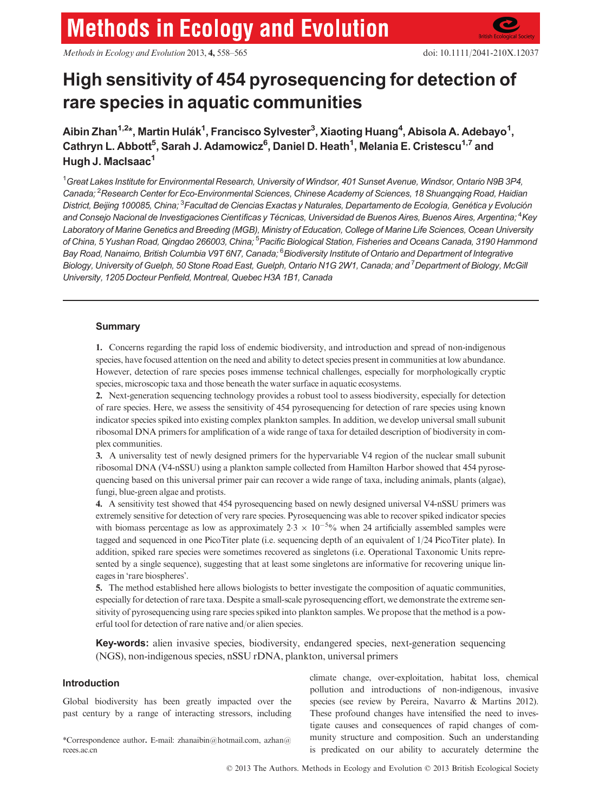# **Methods in Ecology and Evolution**

Methods in Ecology and Evolution 2013, 4, 558–565 doi: 10.1111/2041-210X.12037

# High sensitivity of 454 pyrosequencing for detection of rare species in aquatic communities

Aibin Zhan<sup>1,2</sup>\*, Martin Hulák<sup>1</sup>, Francisco Sylvester<sup>3</sup>, Xiaoting Huang<sup>4</sup>, Abisola A. Adebayo<sup>1</sup>, Cathryn L. Abbott<sup>5</sup>, Sarah J. Adamowicz<sup>6</sup>, Daniel D. Heath<sup>1</sup>, Melania E. Cristescu<sup>1,7</sup> and Hugh J. MacIsaac<sup>1</sup>

<sup>1</sup>Great Lakes Institute for Environmental Research, University of Windsor, 401 Sunset Avenue, Windsor, Ontario N9B 3P4, Canada; <sup>2</sup>Research Center for Eco-Environmental Sciences, Chinese Academy of Sciences, 18 Shuangqing Road, Haidian District, Beijing 100085, China; <sup>3</sup>Facultad de Ciencias Exactas y Naturales, Departamento de Ecología, Genética y Evolución and Consejo Nacional de Investigaciones Científicas y Técnicas, Universidad de Buenos Aires, Buenos Aires, Argentina; <sup>4</sup>Key Laboratory of Marine Genetics and Breeding (MGB), Ministry of Education, College of Marine Life Sciences, Ocean University of China, 5 Yushan Road, Qingdao 266003, China; <sup>5</sup>Pacific Biological Station, Fisheries and Oceans Canada, 3190 Hammond Bay Road, Nanaimo, British Columbia V9T 6N7, Canada; <sup>6</sup>Biodiversity Institute of Ontario and Department of Integrative Biology, University of Guelph, 50 Stone Road East, Guelph, Ontario N1G 2W1, Canada; and <sup>7</sup> Department of Biology, McGill University, 1205 Docteur Penfield, Montreal, Quebec H3A 1B1, Canada

# **Summary**

1. Concerns regarding the rapid loss of endemic biodiversity, and introduction and spread of non-indigenous species, have focused attention on the need and ability to detect species present in communities at low abundance. However, detection of rare species poses immense technical challenges, especially for morphologically cryptic species, microscopic taxa and those beneath the water surface in aquatic ecosystems.

2. Next-generation sequencing technology provides a robust tool to assess biodiversity, especially for detection of rare species. Here, we assess the sensitivity of 454 pyrosequencing for detection of rare species using known indicator species spiked into existing complex plankton samples. In addition, we develop universal small subunit ribosomal DNA primers for amplification of a wide range of taxa for detailed description of biodiversity in complex communities.

3. A universality test of newly designed primers for the hypervariable V4 region of the nuclear small subunit ribosomal DNA (V4-nSSU) using a plankton sample collected from Hamilton Harbor showed that 454 pyrosequencing based on this universal primer pair can recover a wide range of taxa, including animals, plants (algae), fungi, blue-green algae and protists.

4. A sensitivity test showed that 454 pyrosequencing based on newly designed universal V4-nSSU primers was extremely sensitive for detection of very rare species. Pyrosequencing was able to recover spiked indicator species with biomass percentage as low as approximately  $2.3 \times 10^{-5}\%$  when 24 artificially assembled samples were tagged and sequenced in one PicoTiter plate (i.e. sequencing depth of an equivalent of 1/24 PicoTiter plate). In addition, spiked rare species were sometimes recovered as singletons (i.e. Operational Taxonomic Units represented by a single sequence), suggesting that at least some singletons are informative for recovering unique lineages in 'rare biospheres'.

5. The method established here allows biologists to better investigate the composition of aquatic communities, especially for detection of rare taxa. Despite a small-scale pyrosequencing effort, we demonstrate the extreme sensitivity of pyrosequencing using rare species spiked into plankton samples. We propose that the method is a powerful tool for detection of rare native and/or alien species.

Key-words: alien invasive species, biodiversity, endangered species, next-generation sequencing (NGS), non-indigenous species, nSSU rDNA, plankton, universal primers

# Introduction

Global biodiversity has been greatly impacted over the past century by a range of interacting stressors, including

\*Correspondence author. E-mail: zhanaibin@hotmail.com, azhan@ rcees.ac.cn

climate change, over-exploitation, habitat loss, chemical pollution and introductions of non-indigenous, invasive species (see review by Pereira, Navarro & Martins 2012). These profound changes have intensified the need to investigate causes and consequences of rapid changes of community structure and composition. Such an understanding is predicated on our ability to accurately determine the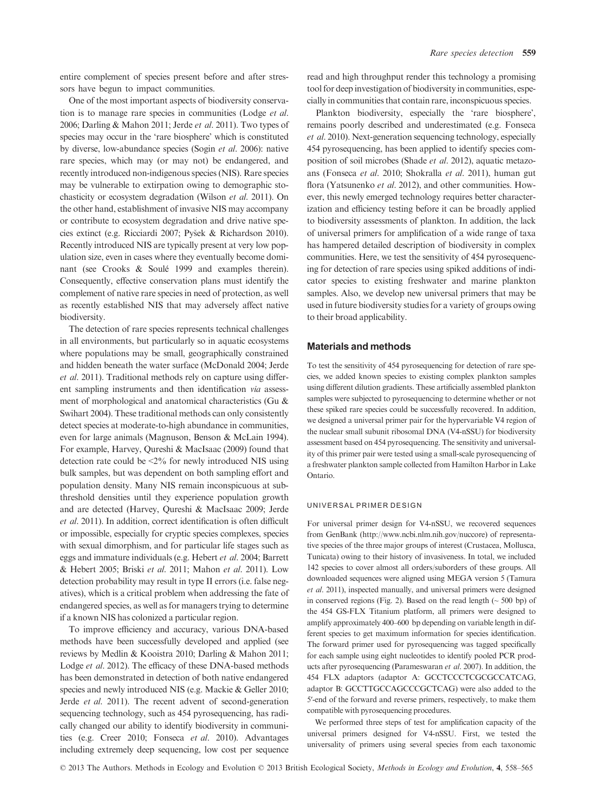entire complement of species present before and after stressors have begun to impact communities.

One of the most important aspects of biodiversity conservation is to manage rare species in communities (Lodge et al. 2006; Darling & Mahon 2011; Jerde et al. 2011). Two types of species may occur in the 'rare biosphere' which is constituted by diverse, low-abundance species (Sogin et al. 2006): native rare species, which may (or may not) be endangered, and recently introduced non-indigenous species (NIS). Rare species may be vulnerable to extirpation owing to demographic stochasticity or ecosystem degradation (Wilson et al. 2011). On the other hand, establishment of invasive NIS may accompany or contribute to ecosystem degradation and drive native species extinct (e.g. Ricciardi 2007; Pysek & Richardson 2010). Recently introduced NIS are typically present at very low population size, even in cases where they eventually become dominant (see Crooks & Soule 1999 and examples therein). Consequently, effective conservation plans must identify the complement of native rare species in need of protection, as well as recently established NIS that may adversely affect native biodiversity.

The detection of rare species represents technical challenges in all environments, but particularly so in aquatic ecosystems where populations may be small, geographically constrained and hidden beneath the water surface (McDonald 2004; Jerde et al. 2011). Traditional methods rely on capture using different sampling instruments and then identification via assessment of morphological and anatomical characteristics (Gu & Swihart 2004). These traditional methods can only consistently detect species at moderate-to-high abundance in communities, even for large animals (Magnuson, Benson & McLain 1994). For example, Harvey, Qureshi & MacIsaac (2009) found that detection rate could be <2% for newly introduced NIS using bulk samples, but was dependent on both sampling effort and population density. Many NIS remain inconspicuous at subthreshold densities until they experience population growth and are detected (Harvey, Qureshi & MacIsaac 2009; Jerde et al. 2011). In addition, correct identification is often difficult or impossible, especially for cryptic species complexes, species with sexual dimorphism, and for particular life stages such as eggs and immature individuals (e.g. Hebert et al. 2004; Barrett & Hebert 2005; Briski et al. 2011; Mahon et al. 2011). Low detection probability may result in type II errors (i.e. false negatives), which is a critical problem when addressing the fate of endangered species, as well as for managers trying to determine if a known NIS has colonized a particular region.

To improve efficiency and accuracy, various DNA-based methods have been successfully developed and applied (see reviews by Medlin & Kooistra 2010; Darling & Mahon 2011; Lodge et al. 2012). The efficacy of these DNA-based methods has been demonstrated in detection of both native endangered species and newly introduced NIS (e.g. Mackie & Geller 2010; Jerde et al. 2011). The recent advent of second-generation sequencing technology, such as 454 pyrosequencing, has radically changed our ability to identify biodiversity in communities (e.g. Creer 2010; Fonseca et al. 2010). Advantages including extremely deep sequencing, low cost per sequence

read and high throughput render this technology a promising tool for deep investigation of biodiversity in communities, especially in communities that contain rare, inconspicuous species.

Plankton biodiversity, especially the 'rare biosphere', remains poorly described and underestimated (e.g. Fonseca et al. 2010). Next-generation sequencing technology, especially 454 pyrosequencing, has been applied to identify species composition of soil microbes (Shade et al. 2012), aquatic metazoans (Fonseca et al. 2010; Shokralla et al. 2011), human gut flora (Yatsunenko et al. 2012), and other communities. However, this newly emerged technology requires better characterization and efficiency testing before it can be broadly applied to biodiversity assessments of plankton. In addition, the lack of universal primers for amplification of a wide range of taxa has hampered detailed description of biodiversity in complex communities. Here, we test the sensitivity of 454 pyrosequencing for detection of rare species using spiked additions of indicator species to existing freshwater and marine plankton samples. Also, we develop new universal primers that may be used in future biodiversity studies for a variety of groups owing to their broad applicability.

#### Materials and methods

To test the sensitivity of 454 pyrosequencing for detection of rare species, we added known species to existing complex plankton samples using different dilution gradients. These artificially assembled plankton samples were subjected to pyrosequencing to determine whether or not these spiked rare species could be successfully recovered. In addition, we designed a universal primer pair for the hypervariable V4 region of the nuclear small subunit ribosomal DNA (V4-nSSU) for biodiversity assessment based on 454 pyrosequencing. The sensitivity and universality of this primer pair were tested using a small-scale pyrosequencing of a freshwater plankton sample collected from Hamilton Harbor in Lake Ontario.

#### UNIVERSAL PRIMER DESIGN

For universal primer design for V4-nSSU, we recovered sequences from GenBank (http://www.ncbi.nlm.nih.gov/nuccore) of representative species of the three major groups of interest (Crustacea, Mollusca, Tunicata) owing to their history of invasiveness. In total, we included 142 species to cover almost all orders/suborders of these groups. All downloaded sequences were aligned using MEGA version 5 (Tamura et al. 2011), inspected manually, and universal primers were designed in conserved regions (Fig. 2). Based on the read length  $(\sim 500 \text{ bp})$  of the 454 GS-FLX Titanium platform, all primers were designed to amplify approximately 400–600 bp depending on variable length in different species to get maximum information for species identification. The forward primer used for pyrosequencing was tagged specifically for each sample using eight nucleotides to identify pooled PCR products after pyrosequencing (Parameswaran et al. 2007). In addition, the 454 FLX adaptors (adaptor A: GCCTCCCTCGCGCCATCAG, adaptor B: GCCTTGCCAGCCCGCTCAG) were also added to the 5′-end of the forward and reverse primers, respectively, to make them compatible with pyrosequencing procedures.

We performed three steps of test for amplification capacity of the universal primers designed for V4-nSSU. First, we tested the universality of primers using several species from each taxonomic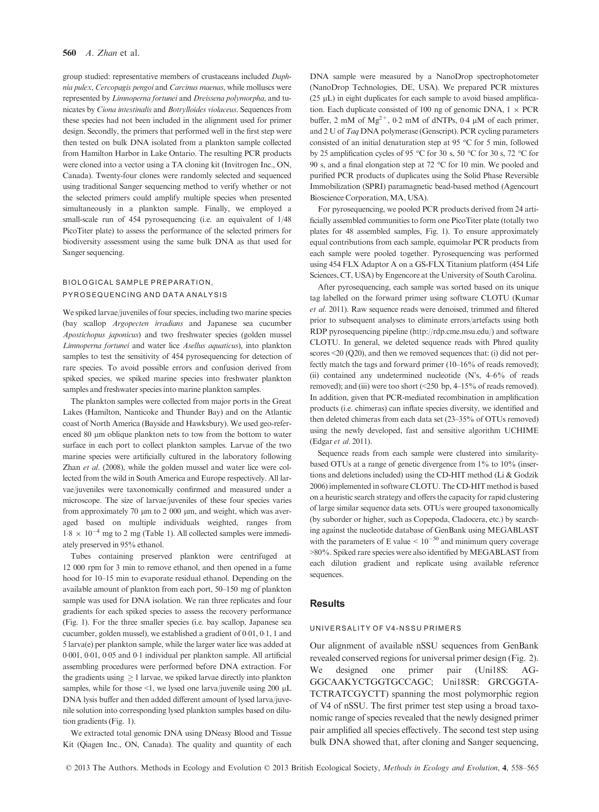group studied: representative members of crustaceans included Daphnia pulex, Cercopagis pengoi and Carcinus maenas, while molluscs were represented by Limnoperna fortunei and Dreissena polymorpha, and tunicates by Ciona intestinalis and Botrylloides violaceus. Sequences from these species had not been included in the alignment used for primer design. Secondly, the primers that performed well in the first step were then tested on bulk DNA isolated from a plankton sample collected from Hamilton Harbor in Lake Ontario. The resulting PCR products were cloned into a vector using a TA cloning kit (Invitrogen Inc., ON, Canada). Twenty-four clones were randomly selected and sequenced using traditional Sanger sequencing method to verify whether or not the selected primers could amplify multiple species when presented simultaneously in a plankton sample. Finally, we employed a small-scale run of 454 pyrosequencing (i.e. an equivalent of 1/48 PicoTiter plate) to assess the performance of the selected primers for biodiversity assessment using the same bulk DNA as that used for Sanger sequencing.

#### BIOLOGICAL SAMPLE PREPARATION, PYROSEQUENCING AND DATA ANALYSIS

We spiked larvae/juveniles of four species, including two marine species (bay scallop Argopecten irradians and Japanese sea cucumber Apostichopus japonicus) and two freshwater species (golden mussel Limnoperna fortunei and water lice Asellus aquaticus), into plankton samples to test the sensitivity of 454 pyrosequencing for detection of rare species. To avoid possible errors and confusion derived from spiked species, we spiked marine species into freshwater plankton samples and freshwater species into marine plankton samples.

The plankton samples were collected from major ports in the Great Lakes (Hamilton, Nanticoke and Thunder Bay) and on the Atlantic coast of North America (Bayside and Hawksbury). We used geo-referenced 80  $\mu$ m oblique plankton nets to tow from the bottom to water surface in each port to collect plankton samples. Larvae of the two marine species were artificially cultured in the laboratory following Zhan et al. (2008), while the golden mussel and water lice were collected from the wild in South America and Europe respectively. All larvae/juveniles were taxonomically confirmed and measured under a microscope. The size of larvae/juveniles of these four species varies from approximately 70  $\mu$ m to 2 000  $\mu$ m, and weight, which was averaged based on multiple individuals weighted, ranges from  $1.8 \times 10^{-4}$  mg to 2 mg (Table 1). All collected samples were immediately preserved in 95% ethanol.

Tubes containing preserved plankton were centrifuged at 12 000 rpm for 3 min to remove ethanol, and then opened in a fume hood for 10–15 min to evaporate residual ethanol. Depending on the available amount of plankton from each port, 50–150 mg of plankton sample was used for DNA isolation. We ran three replicates and four gradients for each spiked species to assess the recovery performance (Fig. 1). For the three smaller species (i.e. bay scallop, Japanese sea cucumber, golden mussel), we established a gradient of 0.01, 0.1, 1 and 5 larva(e) per plankton sample, while the larger water lice was added at 0001, 001, 005 and 01 individual per plankton sample. All artificial assembling procedures were performed before DNA extraction. For the gradients using  $\geq 1$  larvae, we spiked larvae directly into plankton samples, while for those  $\leq 1$ , we lysed one larva/juvenile using 200 µL DNA lysis buffer and then added different amount of lysed larva/juvenile solution into corresponding lysed plankton samples based on dilution gradients (Fig. 1).

We extracted total genomic DNA using DNeasy Blood and Tissue Kit (Qiagen Inc., ON, Canada). The quality and quantity of each DNA sample were measured by a NanoDrop spectrophotometer (NanoDrop Technologies, DE, USA). We prepared PCR mixtures ( $25 \mu L$ ) in eight duplicates for each sample to avoid biased amplification. Each duplicate consisted of 100 ng of genomic DNA,  $1 \times PCR$ buffer, 2 mM of  $Mg^{2+}$ , 0.2 mM of dNTPs, 0.4 µM of each primer, and 2 U of Taq DNA polymerase (Genscript). PCR cycling parameters consisted of an initial denaturation step at 95 °C for 5 min, followed by 25 amplification cycles of 95 °C for 30 s, 50 °C for 30 s, 72 °C for 90 s, and a final elongation step at 72 °C for 10 min. We pooled and purified PCR products of duplicates using the Solid Phase Reversible Immobilization (SPRI) paramagnetic bead-based method (Agencourt Bioscience Corporation, MA, USA).

For pyrosequencing, we pooled PCR products derived from 24 artificially assembled communities to form one PicoTiter plate (totally two plates for 48 assembled samples, Fig. 1). To ensure approximately equal contributions from each sample, equimolar PCR products from each sample were pooled together. Pyrosequencing was performed using 454 FLX Adaptor A on a GS-FLX Titanium platform (454 Life Sciences, CT, USA) by Engencore at the University of South Carolina.

After pyrosequencing, each sample was sorted based on its unique tag labelled on the forward primer using software CLOTU (Kumar et al. 2011). Raw sequence reads were denoised, trimmed and filtered prior to subsequent analyses to eliminate errors/artefacts using both RDP pyrosequencing pipeline (http://rdp.cme.msu.edu/) and software CLOTU. In general, we deleted sequence reads with Phred quality scores <20 (Q20), and then we removed sequences that: (i) did not perfectly match the tags and forward primer (10–16% of reads removed); (ii) contained any undetermined nucleotide (N's, 4–6% of reads removed); and (iii) were too short (<250 bp, 4–15% of reads removed). In addition, given that PCR-mediated recombination in amplification products (i.e. chimeras) can inflate species diversity, we identified and then deleted chimeras from each data set (23–35% of OTUs removed) using the newly developed, fast and sensitive algorithm UCHIME (Edgar et al. 2011).

Sequence reads from each sample were clustered into similaritybased OTUs at a range of genetic divergence from 1% to 10% (insertions and deletions included) using the CD-HIT method (Li & Godzik 2006) implemented in software CLOTU. The CD-HIT method is based on a heuristic search strategy and offers the capacity for rapid clustering of large similar sequence data sets. OTUs were grouped taxonomically (by suborder or higher, such as Copepoda, Cladocera, etc.) by searching against the nucleotide database of GenBank using MEGABLAST with the parameters of E value  $< 10^{-50}$  and minimum query coverage >80%. Spiked rare species were also identified by MEGABLAST from each dilution gradient and replicate using available reference sequences.

## **Results**

#### UNIVERSALITY OF V4-NSSU PRIMERS

Our alignment of available nSSU sequences from GenBank revealed conserved regions for universal primer design (Fig. 2). We designed one primer pair (Uni18S: AG-GGCAAKYCTGGTGCCAGC; Uni18SR: GRCGGTA-TCTRATCGYCTT) spanning the most polymorphic region of V4 of nSSU. The first primer test step using a broad taxonomic range of species revealed that the newly designed primer pair amplified all species effectively. The second test step using bulk DNA showed that, after cloning and Sanger sequencing,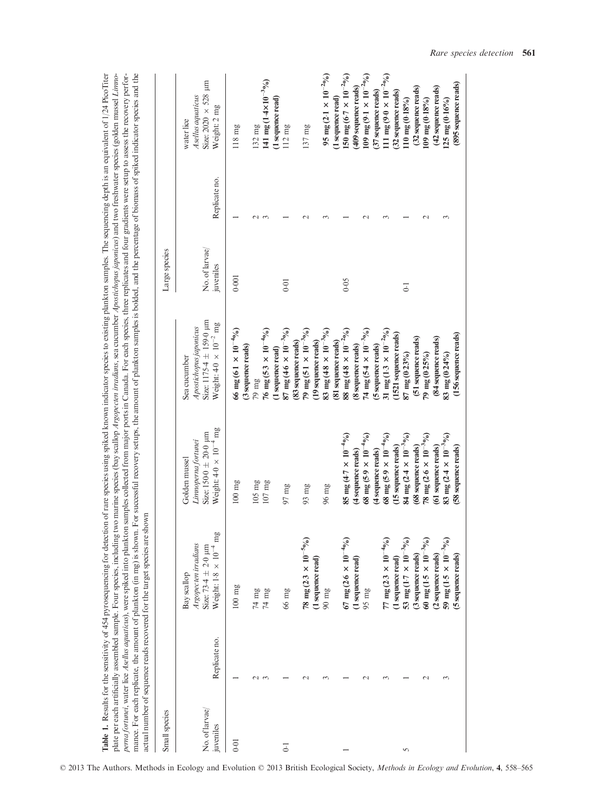perna fortunei, water lice Asellus aquaticus), were spiked into plankton samples collected from major ports in Canada. For each species, three replicates and four gradients were setup to assess the recovery performance. Fo  $\mathbf{I}$ Table 1. Results for the sensitivity of 454 pyrosequencing for detection of rare species using indicator species to existing plankton samples. The sequencing depth is an equivalent of 1/24 PicoTiter<br>plate per each artifici Table 1. Results for the sensitivity of 454 pyrosequencing for detection of rare species using spiked known indicator species to existing plankton samples. The sequencing depth is an equivalent of 1/24 PicoTiter plate per each artificially assembled sample. Four species, including two marine species (bay scallop Argopecten irradians, sea cucumber Apostichopus japonicus) and two freshwater species (golden mussel Linnoperna fortunei, water lice Asellus aquaticus), were spiked into plankton samples collected from major ports in Canada. For each species, three replicates and four gradients were setup to assess the recovery performance. For each replicate, the amount of plankton (in mg) is shown. For successful recovery setups, the amount of plankton samples is bolded, and the percentage of biomass of spiked indicator species and the

|                             |                    | actual number of sequence reads recovered for the target species are shown                                |                                                                                                         |                                                                                                             |                            |               |                                                                                       |
|-----------------------------|--------------------|-----------------------------------------------------------------------------------------------------------|---------------------------------------------------------------------------------------------------------|-------------------------------------------------------------------------------------------------------------|----------------------------|---------------|---------------------------------------------------------------------------------------|
| Small species               |                    |                                                                                                           |                                                                                                         |                                                                                                             | Large species              |               |                                                                                       |
| No. of larvae/<br>juveniles | Replicate no.      | mg<br>Argopecten irradians<br>Size: 73-4 $\pm$ 2-0 $\mu$ m<br>Weight: $1.8 \times 10^{-4}$<br>Bay scallop | Weight: $4.0 \times 10^{-4}$ mg<br>Size: $150.0 \pm 20.0 \mu m$<br>Linnoperna fortunei<br>Golden mussel | Size: $1175.4 \pm 159.0 \mu m$<br>Weight: $4.0 \times 10^{-2}$ mg<br>Apostichopus japonicus<br>Sea cucumber | No. of larvae<br>juveniles | Replicate no. | Size: $2020 \times 528$ µm<br>Asellus aquaticus<br>Weight: 2 mg<br>water lice         |
| 0.01                        |                    | $100$ mg                                                                                                  | $100$ mg                                                                                                | 66 mg (6.1 $\times$ 10 <sup>-4</sup> %)<br>(3 sequence reads)                                               | 0.001                      |               | $118$ mg                                                                              |
|                             | $\sim$             | $74~\mathrm{mg}$<br>$74 \text{ mg}$                                                                       | $107~\mathrm{mg}$<br>$105$ mg                                                                           | 76 mg (5.3 $\times$ 10 <sup>-4</sup> %)<br>$79~\mathrm{mg}$                                                 |                            |               | 141 mg (1.4×10 <sup>-3</sup> %)<br>132 mg                                             |
| $\overline{0}$              |                    | 66 mg                                                                                                     | $97 \text{ mg}$                                                                                         | 87 mg (4.6 × 10 <sup>-3</sup> %)<br>(1 sequence read)                                                       | 0.01                       |               | (1 sequence read)<br>$112 \text{ mg}$                                                 |
|                             |                    | 78 mg (2.3 $\times$ 10 <sup>-5</sup> %)                                                                   | $93 \text{ mg}$                                                                                         | 79 mg (5.1 $\times$ 10 <sup>-3</sup> %)<br>(83 sequence reads)                                              |                            |               | $137$ mg                                                                              |
|                             |                    | (1 sequence read)<br>$90~\mathrm{mg}$                                                                     | $96 \text{ mg}$                                                                                         | 83 mg (4.8 $\times$ 10 <sup>-3</sup> %)<br>(19 sequence reads)                                              |                            |               | 95 mg (2.1 × 10 <sup>-2</sup> %)                                                      |
|                             |                    | 67 mg (2.6 $\times$ 10 <sup>-4</sup> %)                                                                   | 85 mg (4.7 × 10 <sup>-4</sup> %)                                                                        | 88 mg (4.8 $\times$ 10 <sup>-2</sup> %)<br>(81 sequence reads)<br>(8 sequence reads)                        | 0.05                       |               | 150 mg (6-7 $\times$ 10 <sup>-2</sup> %)<br>(1 sequence read)                         |
|                             |                    | (1 sequence read)<br>95 mg                                                                                | 68 mg (5.9 $\times$ 10 <sup>-4</sup> %)<br>(4 sequence reads)                                           | 74 mg (5.4 $\times$ 10 <sup>-3</sup> %)                                                                     |                            |               | 109 mg (9.1 $\times$ 10 <sup>-2</sup> %)<br>(409 sequence reads)                      |
|                             |                    | 77 mg (2.3 $\times$ 10 <sup>-4</sup> %)<br>(1 sequence read)                                              | 68 mg (5.9 $\times$ 10 <sup>-4</sup> %)<br>(15 sequence reads)<br>(4 sequence reads)                    | 31 mg (1.3 $\times$ 10 <sup>-2</sup> %)<br>(1521 sequence reads)<br>(5 sequence reads)                      |                            |               | 11 mg (9.0 $\times$ 10 <sup>-2</sup> %)<br>(37 sequence reads)<br>(32 sequence reads) |
| 5                           |                    | 53 mg (1.7 $\times$ 10 <sup>-3</sup> %)<br>(3 sequence reads)                                             | 84 mg (2.4 $\times$ 10 <sup>-3</sup> %)<br>(68 sequence reads)                                          | (51 sequence reads)<br>87 mg (0.23%)                                                                        | $\overline{0}$             |               | (32 sequence reads)<br>$10 \text{ mg} (0.18\%)$                                       |
|                             | $\scriptstyle\sim$ | 60 mg (1.5 $\times$ 10 <sup>-3</sup> %)                                                                   | 78 mg (2.6 $\times$ 10 <sup>-3</sup> %)                                                                 | 79 mg (0.25%)                                                                                               |                            |               | $109$ mg $(0.18\%)$                                                                   |
|                             |                    | 59 mg (1.5 $\times$ 10 <sup>-3</sup> %)<br>(2 sequence reads)                                             | 83 mg (2.4 $\times$ 10 <sup>-3</sup> %)<br>(61 sequence reads)                                          | (84 sequence reads)<br>83 mg $(0.24\%)$                                                                     |                            |               | (42 sequence reads)<br>$125 \text{ mg} (0.16\%)$                                      |
|                             |                    | (5 sequence reads)                                                                                        | (58 sequence reads)                                                                                     | (156 sequence reads)                                                                                        |                            |               | (895 sequence reads)                                                                  |

© 2013 The Authors. Methods in Ecology and Evolution © 2013 British Ecological Society, Methods in Ecology and Evolution, 4, 558–565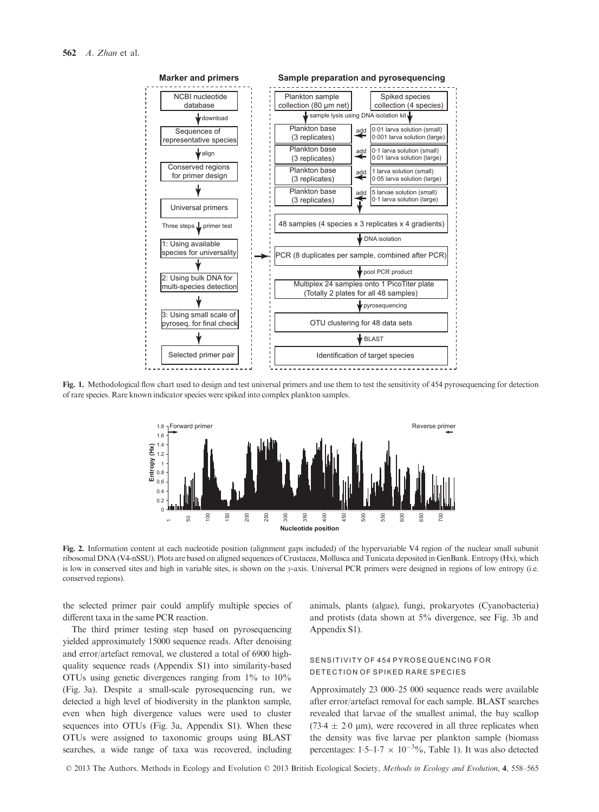

Fig. 1. Methodological flow chart used to design and test universal primers and use them to test the sensitivity of 454 pyrosequencing for detection of rare species. Rare known indicator species were spiked into complex plankton samples.



Fig. 2. Information content at each nucleotide position (alignment gaps included) of the hypervariable V4 region of the nuclear small subunit ribosomal DNA (V4-nSSU). Plots are based on aligned sequences of Crustacea, Mollusca and Tunicata deposited in GenBank. Entropy (Hx), which is low in conserved sites and high in variable sites, is shown on the y-axis. Universal PCR primers were designed in regions of low entropy (i.e. conserved regions).

the selected primer pair could amplify multiple species of different taxa in the same PCR reaction.

The third primer testing step based on pyrosequencing yielded approximately 15000 sequence reads. After denoising and error/artefact removal, we clustered a total of 6900 highquality sequence reads (Appendix S1) into similarity-based OTUs using genetic divergences ranging from 1% to 10% (Fig. 3a). Despite a small-scale pyrosequencing run, we detected a high level of biodiversity in the plankton sample, even when high divergence values were used to cluster sequences into OTUs (Fig. 3a, Appendix S1). When these OTUs were assigned to taxonomic groups using BLAST searches, a wide range of taxa was recovered, including animals, plants (algae), fungi, prokaryotes (Cyanobacteria) and protists (data shown at 5% divergence, see Fig. 3b and Appendix S1).

## SENSITIVITY OF 454 PYROSEQUENCING FOR DETECTION OF SPIKED RARE SPECIES

Approximately 23 000–25 000 sequence reads were available after error/artefact removal for each sample. BLAST searches revealed that larvae of the smallest animal, the bay scallop (73.4  $\pm$  2.0 µm), were recovered in all three replicates when the density was five larvae per plankton sample (biomass percentages:  $1.5-1.7 \times 10^{-3}\%$ , Table 1). It was also detected

© 2013 The Authors. Methods in Ecology and Evolution © 2013 British Ecological Society, Methods in Ecology and Evolution, 4, 558–565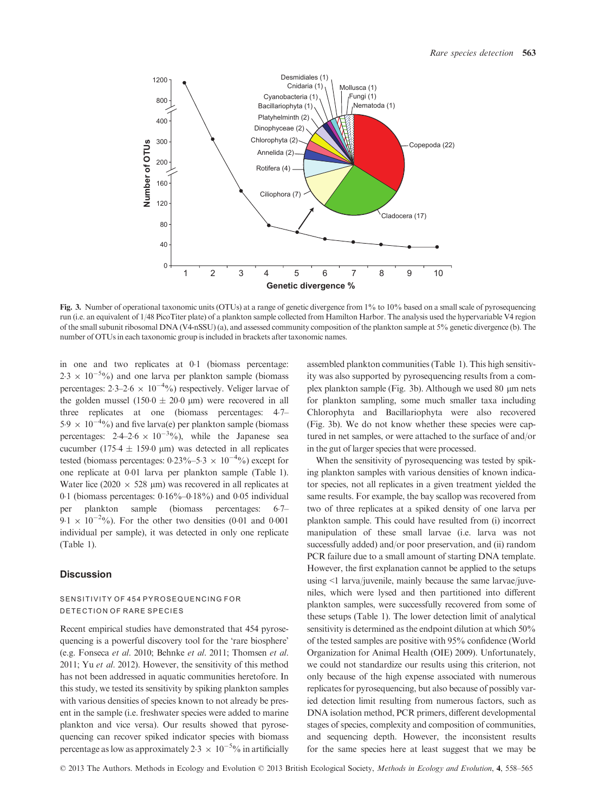

Fig. 3. Number of operational taxonomic units (OTUs) at a range of genetic divergence from 1% to 10% based on a small scale of pyrosequencing run (i.e. an equivalent of 1/48 PicoTiter plate) of a plankton sample collected from Hamilton Harbor. The analysis used the hypervariable V4 region of the small subunit ribosomal DNA (V4-nSSU) (a), and assessed community composition of the plankton sample at 5% genetic divergence (b). The number of OTUs in each taxonomic group is included in brackets after taxonomic names.

in one and two replicates at 01 (biomass percentage:  $2.3 \times 10^{-5}$ %) and one larva per plankton sample (biomass percentages:  $2.3-2.6 \times 10^{-4}\%$ ) respectively. Veliger larvae of the golden mussel (150.0  $\pm$  20.0 µm) were recovered in all three replicates at one (biomass percentages: 47–  $5.9 \times 10^{-4}\%$ ) and five larva(e) per plankton sample (biomass percentages:  $2.4-2.6 \times 10^{-3}\%$ ), while the Japanese sea cucumber (175.4  $\pm$  159.0 µm) was detected in all replicates tested (biomass percentages:  $0.23\%$ –5.3 ×  $10^{-4}\%$ ) except for one replicate at 001 larva per plankton sample (Table 1). Water lice (2020  $\times$  528 µm) was recovered in all replicates at 0.1 (biomass percentages: 0.16%–0.18%) and 0.05 individual<br>per plankton sample (biomass percentages: 6.7– per plankton sample (biomass percentages: 67–  $9.1 \times 10^{-2}\%$ ). For the other two densities (0.01 and 0.001 individual per sample), it was detected in only one replicate (Table 1).

## **Discussion**

## SENSITIVITY OF 454 PYROSEQUENCING FOR DETECTION OF RARE SPECIES

Recent empirical studies have demonstrated that 454 pyrosequencing is a powerful discovery tool for the 'rare biosphere' (e.g. Fonseca et al. 2010; Behnke et al. 2011; Thomsen et al. 2011; Yu et al. 2012). However, the sensitivity of this method has not been addressed in aquatic communities heretofore. In this study, we tested its sensitivity by spiking plankton samples with various densities of species known to not already be present in the sample (i.e. freshwater species were added to marine plankton and vice versa). Our results showed that pyrosequencing can recover spiked indicator species with biomass percentage as low as approximately 2.3  $\times$  10<sup>-5</sup>% in artificially

assembled plankton communities (Table 1). This high sensitivity was also supported by pyrosequencing results from a complex plankton sample (Fig. 3b). Although we used  $80 \mu m$  nets for plankton sampling, some much smaller taxa including Chlorophyta and Bacillariophyta were also recovered (Fig. 3b). We do not know whether these species were captured in net samples, or were attached to the surface of and/or in the gut of larger species that were processed.

When the sensitivity of pyrosequencing was tested by spiking plankton samples with various densities of known indicator species, not all replicates in a given treatment yielded the same results. For example, the bay scallop was recovered from two of three replicates at a spiked density of one larva per plankton sample. This could have resulted from (i) incorrect manipulation of these small larvae (i.e. larva was not successfully added) and/or poor preservation, and (ii) random PCR failure due to a small amount of starting DNA template. However, the first explanation cannot be applied to the setups using <1 larva/juvenile, mainly because the same larvae/juveniles, which were lysed and then partitioned into different plankton samples, were successfully recovered from some of these setups (Table 1). The lower detection limit of analytical sensitivity is determined as the endpoint dilution at which  $50\%$ of the tested samples are positive with 95% confidence (World Organization for Animal Health (OIE) 2009). Unfortunately, we could not standardize our results using this criterion, not only because of the high expense associated with numerous replicates for pyrosequencing, but also because of possibly varied detection limit resulting from numerous factors, such as DNA isolation method, PCR primers, different developmental stages of species, complexity and composition of communities, and sequencing depth. However, the inconsistent results for the same species here at least suggest that we may be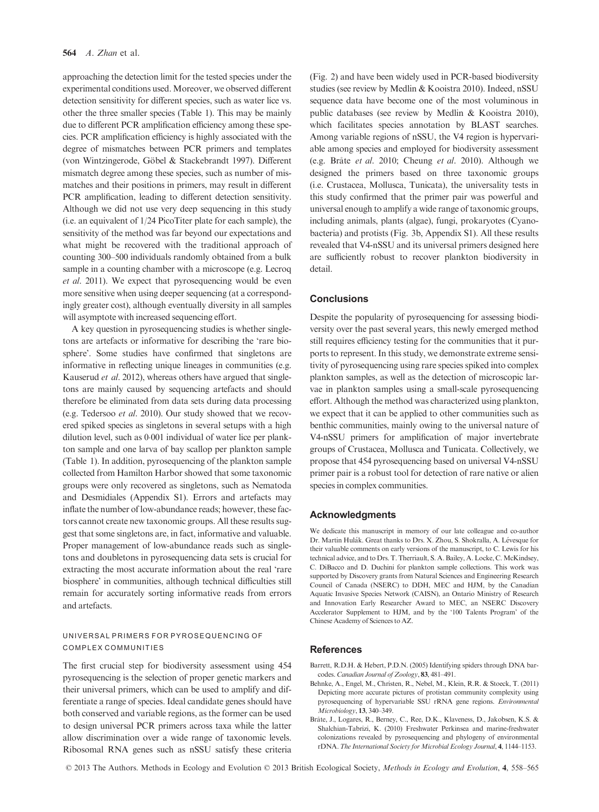approaching the detection limit for the tested species under the experimental conditions used. Moreover, we observed different detection sensitivity for different species, such as water lice vs. other the three smaller species (Table 1). This may be mainly due to different PCR amplification efficiency among these species. PCR amplification efficiency is highly associated with the degree of mismatches between PCR primers and templates (von Wintzingerode, Göbel & Stackebrandt 1997). Different mismatch degree among these species, such as number of mismatches and their positions in primers, may result in different PCR amplification, leading to different detection sensitivity. Although we did not use very deep sequencing in this study (i.e. an equivalent of 1/24 PicoTiter plate for each sample), the sensitivity of the method was far beyond our expectations and what might be recovered with the traditional approach of counting 300–500 individuals randomly obtained from a bulk sample in a counting chamber with a microscope (e.g. Lecroq et al. 2011). We expect that pyrosequencing would be even more sensitive when using deeper sequencing (at a correspondingly greater cost), although eventually diversity in all samples will asymptote with increased sequencing effort.

A key question in pyrosequencing studies is whether singletons are artefacts or informative for describing the 'rare biosphere'. Some studies have confirmed that singletons are informative in reflecting unique lineages in communities (e.g. Kauserud et al. 2012), whereas others have argued that singletons are mainly caused by sequencing artefacts and should therefore be eliminated from data sets during data processing (e.g. Tedersoo et al. 2010). Our study showed that we recovered spiked species as singletons in several setups with a high dilution level, such as 0.001 individual of water lice per plankton sample and one larva of bay scallop per plankton sample (Table 1). In addition, pyrosequencing of the plankton sample collected from Hamilton Harbor showed that some taxonomic groups were only recovered as singletons, such as Nematoda and Desmidiales (Appendix S1). Errors and artefacts may inflate the number of low-abundance reads; however, these factors cannot create new taxonomic groups. All these results suggest that some singletons are, in fact, informative and valuable. Proper management of low-abundance reads such as singletons and doubletons in pyrosequencing data sets is crucial for extracting the most accurate information about the real 'rare biosphere' in communities, although technical difficulties still remain for accurately sorting informative reads from errors and artefacts.

#### UNIVERSAL PRIMERS FOR PYROSEQUENCING OF COMPLEX COMMUNITIES

The first crucial step for biodiversity assessment using 454 pyrosequencing is the selection of proper genetic markers and their universal primers, which can be used to amplify and differentiate a range of species. Ideal candidate genes should have both conserved and variable regions, as the former can be used to design universal PCR primers across taxa while the latter allow discrimination over a wide range of taxonomic levels. Ribosomal RNA genes such as nSSU satisfy these criteria (Fig. 2) and have been widely used in PCR-based biodiversity studies (see review by Medlin & Kooistra 2010). Indeed, nSSU sequence data have become one of the most voluminous in public databases (see review by Medlin & Kooistra 2010), which facilitates species annotation by BLAST searches. Among variable regions of nSSU, the V4 region is hypervariable among species and employed for biodiversity assessment (e.g. Brate et al. 2010; Cheung et al. 2010). Although we designed the primers based on three taxonomic groups (i.e. Crustacea, Mollusca, Tunicata), the universality tests in this study confirmed that the primer pair was powerful and universal enough to amplify a wide range of taxonomic groups, including animals, plants (algae), fungi, prokaryotes (Cyanobacteria) and protists (Fig. 3b, Appendix S1). All these results revealed that V4-nSSU and its universal primers designed here are sufficiently robust to recover plankton biodiversity in detail.

# **Conclusions**

Despite the popularity of pyrosequencing for assessing biodiversity over the past several years, this newly emerged method still requires efficiency testing for the communities that it purports to represent. In this study, we demonstrate extreme sensitivity of pyrosequencing using rare species spiked into complex plankton samples, as well as the detection of microscopic larvae in plankton samples using a small-scale pyrosequencing effort. Although the method was characterized using plankton, we expect that it can be applied to other communities such as benthic communities, mainly owing to the universal nature of V4-nSSU primers for amplification of major invertebrate groups of Crustacea, Mollusca and Tunicata. Collectively, we propose that 454 pyrosequencing based on universal V4-nSSU primer pair is a robust tool for detection of rare native or alien species in complex communities.

#### Acknowledgments

We dedicate this manuscript in memory of our late colleague and co-author Dr. Martin Hulák. Great thanks to Drs. X. Zhou, S. Shokralla, A. Lévesque for their valuable comments on early versions of the manuscript, to C. Lewis for his technical advice, and to Drs. T. Therriault, S. A. Bailey, A. Locke, C. McKindsey, C. DiBacco and D. Duchini for plankton sample collections. This work was supported by Discovery grants from Natural Sciences and Engineering Research Council of Canada (NSERC) to DDH, MEC and HJM, by the Canadian Aquatic Invasive Species Network (CAISN), an Ontario Ministry of Research and Innovation Early Researcher Award to MEC, an NSERC Discovery Accelerator Supplement to HJM, and by the '100 Talents Program' of the Chinese Academy of Sciences to AZ.

#### References

- Barrett, R.D.H. & Hebert, P.D.N. (2005) Identifying spiders through DNA barcodes. Canadian Journal of Zoology, 83, 481–491.
- Behnke, A., Engel, M., Christen, R., Nebel, M., Klein, R.R. & Stoeck, T. (2011) Depicting more accurate pictures of protistan community complexity using pyrosequencing of hypervariable SSU rRNA gene regions. Environmental Microbiology, 13, 340–349.
- Brate, J., Logares, R., Berney, C., Ree, D.K., Klaveness, D., Jakobsen, K.S. & Shalchian-Tabrizi, K. (2010) Freshwater Perkinsea and marine-freshwater colonizations revealed by pyrosequencing and phylogeny of environmental rDNA.The International Society for Microbial Ecology Journal, 4, 1144–1153.

© 2013 The Authors. Methods in Ecology and Evolution © 2013 British Ecological Society, Methods in Ecology and Evolution, 4, 558–565